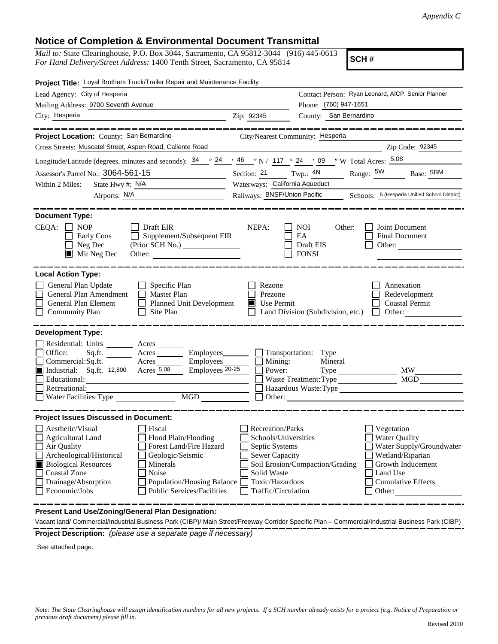## **Notice of Completion & Environmental Document Transmittal**

*Mail to:* State Clearinghouse, P.O. Box 3044, Sacramento, CA 95812-3044 (916) 445-0613 *For Hand Delivery/Street Address:* 1400 Tenth Street, Sacramento, CA 95814

**SCH #**

| Project Title: Loyal Brothers Truck/Trailer Repair and Maintenance Facility                                                                                                                                                                                                                                                                                                                                    |                                                                                                                                              |                                                                                                                                                                                               |
|----------------------------------------------------------------------------------------------------------------------------------------------------------------------------------------------------------------------------------------------------------------------------------------------------------------------------------------------------------------------------------------------------------------|----------------------------------------------------------------------------------------------------------------------------------------------|-----------------------------------------------------------------------------------------------------------------------------------------------------------------------------------------------|
| Lead Agency: City of Hesperia                                                                                                                                                                                                                                                                                                                                                                                  |                                                                                                                                              | Contact Person: Ryan Leonard, AICP, Senior Planner                                                                                                                                            |
| Mailing Address: 9700 Seventh Avenue                                                                                                                                                                                                                                                                                                                                                                           |                                                                                                                                              | Phone: (760) 947-1651                                                                                                                                                                         |
| City: Hesperia                                                                                                                                                                                                                                                                                                                                                                                                 | Zip: 92345                                                                                                                                   | County: San Bernardino                                                                                                                                                                        |
| Project Location: County: San Bernardino                                                                                                                                                                                                                                                                                                                                                                       | City/Nearest Community: Hesperia                                                                                                             |                                                                                                                                                                                               |
| Cross Streets: Muscatel Street, Aspen Road, Caliente Road                                                                                                                                                                                                                                                                                                                                                      |                                                                                                                                              | Zip Code: 92345                                                                                                                                                                               |
| Longitude/Latitude (degrees, minutes and seconds): $\frac{34}{9}$ $\frac{24}{16}$ $\frac{46}{12}$ N / 117 $\degree$ 24 $\degree$ 09 $\degree$ W Total Acres: $\frac{5.08}{12}$                                                                                                                                                                                                                                 |                                                                                                                                              |                                                                                                                                                                                               |
| Assessor's Parcel No.: 3064-561-15                                                                                                                                                                                                                                                                                                                                                                             | Section: 21                                                                                                                                  | Twp.: $4N$<br>Range: $5W$<br>Base: SBM                                                                                                                                                        |
| State Hwy #: N/A<br>Within 2 Miles:                                                                                                                                                                                                                                                                                                                                                                            | Waterways: California Aqueduct                                                                                                               |                                                                                                                                                                                               |
| Airports: N/A                                                                                                                                                                                                                                                                                                                                                                                                  |                                                                                                                                              | Railways: BNSF/Union Pacific Schools: 5 (Hesperia Unified School District)                                                                                                                    |
| <b>Document Type:</b><br>$CEQA: \Box NOP$<br>Draft EIR<br>Supplement/Subsequent EIR<br>Early Cons<br>Neg Dec<br>$\blacksquare$ Mit Neg Dec                                                                                                                                                                                                                                                                     | NEPA:                                                                                                                                        | <b>NOI</b><br>Other:<br>Joint Document<br>EA<br>Final Document<br>Draft EIS<br>Other: $\qquad \qquad$<br><b>FONSI</b>                                                                         |
| <b>Local Action Type:</b><br>General Plan Update<br>Specific Plan<br>General Plan Amendment<br>$\Box$ Master Plan<br>General Plan Element<br><b>Planned Unit Development</b><br><b>Community Plan</b><br>Site Plan                                                                                                                                                                                             | Rezone<br>Prezone<br>$\blacksquare$ Use Permit                                                                                               | Annexation<br>Redevelopment<br><b>Coastal Permit</b><br>Land Division (Subdivision, etc.)<br>Other:<br>$\mathbf{I}$                                                                           |
| <b>Development Type:</b><br>Residential: Units ________ Acres _______<br>Office:<br>Acres<br>Sq.ft.<br>Commercial:Sq.ft.<br>$A$ cres $\_\_\_\_\_\_\_\_\_\$<br>Industrial: Sq.ft. 12,800 Acres 5.08<br>Employees <sub>20-25</sub><br>Educational:<br>Recreational:<br>$\overline{MGD}$<br>Water Facilities: Type                                                                                                | $Employes$ $\Box$ Mining:<br>Power:                                                                                                          | MW<br>MGD<br>Waste Treatment: Type<br>Hazardous Waste:Type<br>Other:                                                                                                                          |
| <b>Project Issues Discussed in Document:</b><br>Aesthetic/Visual<br>Fiscal<br><b>Agricultural Land</b><br>Flood Plain/Flooding<br>Forest Land/Fire Hazard<br>Air Quality<br>Archeological/Historical<br>Geologic/Seismic<br><b>Biological Resources</b><br>Minerals<br><b>Coastal Zone</b><br>Noise<br>Population/Housing Balance<br>Drainage/Absorption<br>Economic/Jobs<br><b>Public Services/Facilities</b> | Recreation/Parks<br>Schools/Universities<br>Septic Systems<br><b>Sewer Capacity</b><br>Solid Waste<br>Toxic/Hazardous<br>Traffic/Circulation | Vegetation<br><b>Water Quality</b><br>Water Supply/Groundwater<br>Wetland/Riparian<br>Soil Erosion/Compaction/Grading<br>Growth Inducement<br>Land Use<br><b>Cumulative Effects</b><br>Other: |

**Present Land Use/Zoning/General Plan Designation:**

**Project Description:** *(please use a separate page if necessary)* Vacant land/ Commercial/Industrial Business Park (CIBP)/ Main Street/Freeway Corridor Specific Plan – Commercial/Industrial Business Park (CIBP)

See attached page.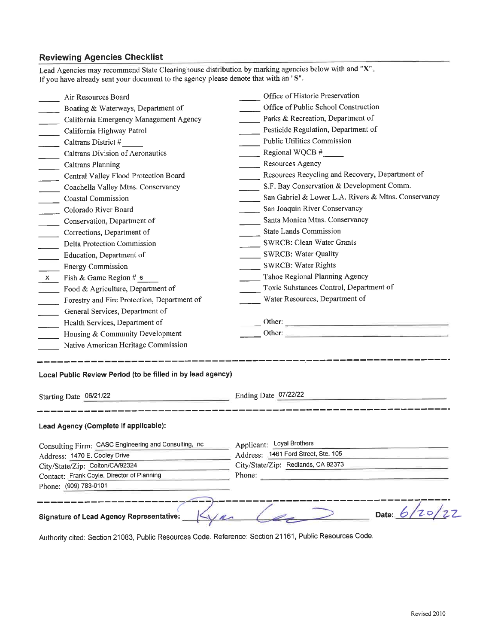## **Reviewing Agencies Checklist**

| Lead Agencies may recommend State Clearinghouse distribution by marking agencies below with and "X".<br>If you have already sent your document to the agency please denote that with an "S". |                                                     |  |  |
|----------------------------------------------------------------------------------------------------------------------------------------------------------------------------------------------|-----------------------------------------------------|--|--|
| Air Resources Board                                                                                                                                                                          | Office of Historic Preservation                     |  |  |
| Boating & Waterways, Department of                                                                                                                                                           | Office of Public School Construction                |  |  |
| California Emergency Management Agency                                                                                                                                                       | Parks & Recreation, Department of                   |  |  |
| California Highway Patrol                                                                                                                                                                    | Pesticide Regulation, Department of                 |  |  |
| Caltrans District #                                                                                                                                                                          | <b>Public Utilities Commission</b>                  |  |  |
| Caltrans Division of Aeronautics                                                                                                                                                             | Regional WQCB $#$                                   |  |  |
| <b>Caltrans Planning</b><br>$\overline{\phantom{0}}$                                                                                                                                         | Resources Agency                                    |  |  |
| Central Valley Flood Protection Board<br>$\overline{\phantom{a}}$                                                                                                                            | Resources Recycling and Recovery, Department of     |  |  |
| Coachella Valley Mtns. Conservancy                                                                                                                                                           | S.F. Bay Conservation & Development Comm.           |  |  |
| <b>Coastal Commission</b><br>$\sim$                                                                                                                                                          | San Gabriel & Lower L.A. Rivers & Mtns. Conservancy |  |  |
| Colorado River Board                                                                                                                                                                         | San Joaquin River Conservancy                       |  |  |
| Conservation, Department of                                                                                                                                                                  | Santa Monica Mtns. Conservancy                      |  |  |
| Corrections, Department of                                                                                                                                                                   | <b>State Lands Commission</b>                       |  |  |
| Delta Protection Commission                                                                                                                                                                  | SWRCB: Clean Water Grants                           |  |  |
| Education, Department of                                                                                                                                                                     | SWRCB: Water Quality                                |  |  |
| <b>Energy Commission</b>                                                                                                                                                                     | SWRCB: Water Rights                                 |  |  |
| Fish & Game Region # 6<br>$\mathsf{X}$                                                                                                                                                       | Tahoe Regional Planning Agency                      |  |  |
| Food & Agriculture, Department of                                                                                                                                                            | Toxic Substances Control, Department of             |  |  |
| Forestry and Fire Protection, Department of                                                                                                                                                  | Water Resources, Department of                      |  |  |
| General Services, Department of                                                                                                                                                              |                                                     |  |  |
| Health Services, Department of                                                                                                                                                               |                                                     |  |  |
| Housing & Community Development                                                                                                                                                              | Other:                                              |  |  |
| Native American Heritage Commission                                                                                                                                                          |                                                     |  |  |
| Local Public Review Period (to be filled in by lead agency)<br>Ending Date 07/22/22<br>Starting Date 06/21/22                                                                                |                                                     |  |  |
| Lead Agency (Complete if applicable):                                                                                                                                                        |                                                     |  |  |
|                                                                                                                                                                                              | Applicant: Loyal Brothers                           |  |  |
| Consulting Firm: CASC Engineering and Consulting, Inc<br>Address: 1470 E. Cooley Drive                                                                                                       | Address: 1461 Ford Street, Ste. 105                 |  |  |
| City/State/Zip: Colton/CA/92324                                                                                                                                                              | City/State/Zip: Redlands, CA 92373                  |  |  |
| Contact: Frank Coyle, Director of Planning                                                                                                                                                   | Phone:                                              |  |  |
| Phone: (909) 783-0101                                                                                                                                                                        |                                                     |  |  |
|                                                                                                                                                                                              |                                                     |  |  |
| Date: $6/20/27$<br>Signature of Lead Agency Representative:                                                                                                                                  |                                                     |  |  |

Authority cited: Section 21083, Public Resources Code. Reference: Section 21161, Public Resources Code.